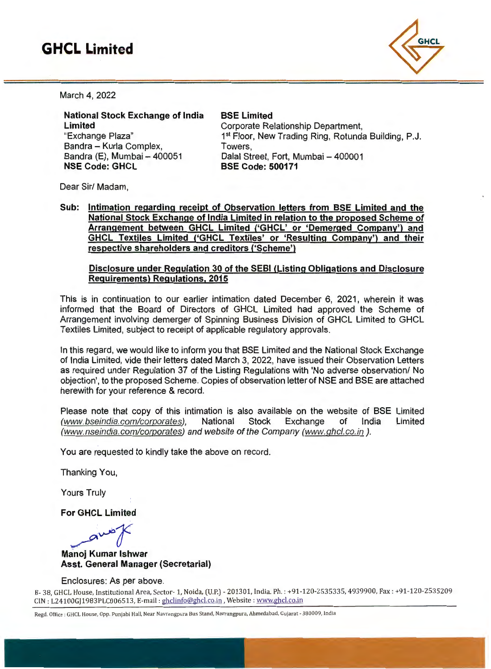# **GHCL Limited**



March 4, 2022

National Stock Exchange of India Limited "Exchange Plaza" Bandra - Kurla Complex, Bandra (E), Mumbai - 400051 NSE Code: GHCL

# BSE Limited Corporate Relationship Department, 1<sup>st</sup> Floor, New Trading Ring, Rotunda Building, P.J.

Towers, Dalal Street, Fort, Mumbai - 400001 BSE Code: 500171

Dear Sir/ Madam,

Sub: Intimation regarding receipt of Observation letters from BSE Limited and the National Stock Exchange of India Limited in relation to the proposed Scheme of Arrangement between GHCL Limited ('GHCL' or 'Demerged Company') and GHCL Textiles Limited ('GHCL Textiles' or 'Resulting Company') and their respective shareholders and creditors ('Scheme')

## Disclosure under Regulation 30 of the SEBI (Listing Obligations and Disclosure Requirements) Regulations, 2015

This is in continuation to our earlier intimation dated December 6, 2021, wherein it was informed that the Board of Directors of GHCL Limited had approved the Scheme of Arrangement involving demerger of Spinning Business Division of GHCL Limited to GHCL Textiles Limited, subject to receipt of applicable regulatory approvals.

In this regard, we would like to inform you that BSE Limited and the National Stock Exchange of India Limited, vide their letters dated March 3, 2022, have issued their Observation Letters as required under Regulation 37 of the Listing Regulations with 'No adverse observation/ No objection', to the proposed Scheme. Copies of observation letter of NSE and BSE are attached herewith for your reference & record.

Please note that copy of this intimation is also available on the website of BSE Limited (www.bseindia. com/corporates), National Stock Exchange of India Limited (www.nseindia.com/corporates) and website of the Company (www.ghcl.co.in).

You are requested to kindly take the above on record.

Thanking You,

Yours Truly

For GHCL Limited

————————————————————

Manoj Kumar lshwar Asst. General Manager (Secretarial)

Enclosures: As per above.

B- 38, GHCL House, Institutional Area, Sector- 1, Noida, (U.P.) - 201301, India. Ph. : +91-120-2535335, 4939900, Fax: +91-12 0-2535209 CIN: L24100GJ1983PLC006513, E-mail: ghclinfo@ghcl.co.in, Website: www.ghcl.co.in

Regd. Office: GHCL House, Opp. Punjabi Hall, Near Navrangpura Bus Stand, Navrangpura, Ahmedabad, Gujarat - 380009, India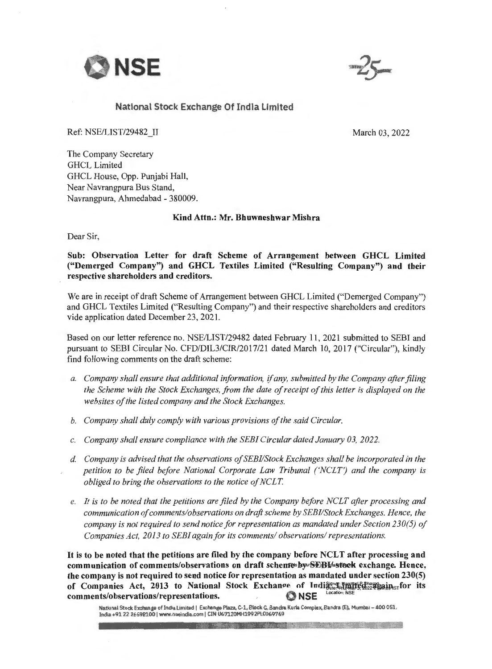



## National Stock Exchange Of India Umited

Ref: NSE/LIST/29482 II

March 03, 2022

The Company Secretary GHCL Limited GHCL House, Opp. Punjabi Hall, Near Navrangpura Bus Stand, Navrangpura, Ahmedabad - 380009.

### Kind Attn.: Mr. Bhuwneshwar Mishra

Dear Sir,

Sub: Observation Letter for draft Scheme of Arrangement between GHCL Limited ("Demerged Company") and GHCL Textiles Limited ("Resulting Company") and their respective shareholders and creditors.

We are in receipt of draft Scheme of Arrangement between GHCL Limited ("Demerged Company") and GHCL Textiles Limited ("Resulting Company") and their respective shareholders and creditors vide application dated December 23, 2021.

Based on our letter reference no. NSE/LIST/29482 dated February 11 , 2021 submitted to SEBI and pursuant to SEBI Circular No. CFD/DIL3/CIR/2017/21 dated March 10, 2017 ("Circular"), kindly find following comments on the draft scheme:

- *a. Company shall ensure that additional information,* if *any, submitted by the Company after filing the Scheme with the Stock Exchanges, from the date of receipt of this letter is displayed on the websites of the listed company and the Stock Exchanges.*
- *b. Company shall duly comply with various provisions of the said Circular.*
- *c. Company shall ensure compliance with the SEEi Circular dated Janumy 03, 2022.*
- d. *Company is advised that the observations of SEEi/Stock Exchanges shall be incorporated in the petition to be filed before National Corporate Law Tribunal ('NCLT') and the company is obliged to bring the observations to the notice of NCLT*
- *e. It is to be noted that the petitions are filed by the Company before NCLT after processing and communication of comments/observations on draft scheme by SEEi/Stock Exchanges. Hence, the company is not required to send notice for representation as mandated under Section 230(5) of Companies Act, 2013 to SEEi again for its comments/ observations/ representations.*

It is to be noted that the petitions are filed by the company before NCLT after processing and communication of comments/observations on draft schemesby SEBI work exchange. Hence, the company is not required to send notice for representation as mandated under section 230(5) of Companies Act, 2013 to National Stock Exchange of India<sub>gre</sub> in the season stor its comments/observations/representations.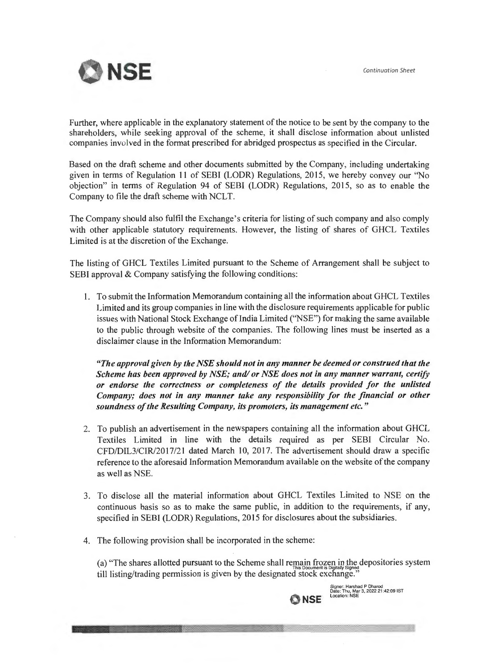

Further, where applicable in the explanatory statement of the notice to be sent by the company to the shareholders, while seeking approval of the scheme, it shall disclose information about unlisted companies involved in the format prescribed for abridged prospectus as specified in the Circular.

Based on the draft scheme and other documents submitted by the Company, including undertaking given in terms of Regulation 11 of SEBI (LODR) Regulations, 2015, we hereby convey our "No objection" in terms of Regulation 94 of SEBI (LODR) Regulations, 2015, so as to enable the Company to file the draft scheme with NCLT.

The Company should also fulfil the Exchange's criteria for listing of such company and also comply with other applicable statutory requirements. However, the listing of shares of GHCL Textiles Limited is at the discretion of the Exchange.

The listing of GHCL Textiles Limited pursuant to the Scheme of Arrangement shall be subject to SEBI approval & Company satisfying the following conditions:

l. To submit the Information Memorandum containing all the information about GHCL Textiles Limited and its group companies in line with the disclosure requirements applicable for public issues with National Stock Exchange of India Limited ('NSE'') for making the same available to the public through website of the companies. The following lines must be inserted as a disclaimer clause in the Information Memorandum:

*"The approval given by the NSE should not in any manner be deemed or construed that the Scheme has been approved by NSE; and/ or NSE does not in any manner warrant, certify or endorse the correctness or completeness of the details provided for the unlisted Company; does not in any manner take any responsibility for the financial or other soundness of the Resulting Company, its promoters, its management etc. "* 

- 2. To publish an advertisement in the newspapers containing all the information about GHCL Textiles Limited in line with the details required as per SEBI Circular No. CFD/DIL3/CIR/2017/21 dated March 10, 2017. The advertisement should draw a specific reference to the aforesaid Information Memorandum available on the website of the company as well as NSE.
- 3. To disclose all the material information about GHCL Textiles Limited to NSE on the continuous basis so as to make the same public, in addition to the requirements, if any, specified in SEBl (LODR) Regulations, 2015 for disclosures about the subsidiaries.
- 4. The following provision shall be incorporated in the scheme:

<u> Maria Alemania (m. 18</u>

(a) "The shares allotted pursuant to the Scheme shall remain frozen in the depositories system till listing/trading permission is given by the designated stock exchange."

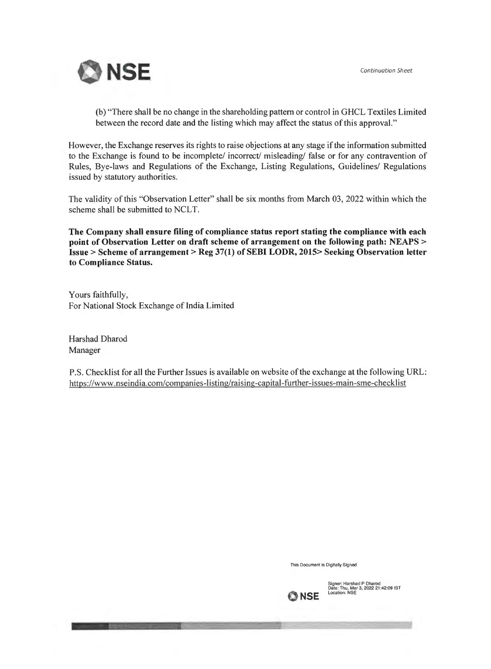

(b) "There shall be no change in the shareholding pattern or control in GHCL Textiles Limited between the record date and the listing which may affect the status of this approval."

However, the Exchange reserves its rights to raise objections at any stage if the information submitted to the Exchange is found to be incomplete/ incorrect/ misleading/ false or for any contravention of Rules, Bye-laws and Regulations of the Exchange, Listing Regulations, Guidelines/ Regulations issued by statutory authorities.

The validity of this "Observation Letter" shall be six months from March 03, 2022 within which the scheme shall be submitted to NCLT.

**The Company shall ensure filing of compliance status report stating the compliance with each point of Observation Letter on draft scheme of arrangement on the following path: NEAPS** <sup>&</sup>gt; **Issue > Scheme of arrangement> Reg 37(1) of SEBI LODR, 2015> Seeking Observation letter to Compliance Status.** 

Yours faithfully, For National Stock Exchange of India Limited

Harshad Dharod Manager

I

P.S. Checklist for all the Further Issues is available on website of the exchange at the following URL: https://www.nseindia.com/companies-listing/raising-capital-further-issues-rnain-sme-checklist

**This Document is Digitally Signed** 



Signer: Harshad P Dharod<br>Date: Thu, Mar 3, 2022 21:42:09 IST<br>Location: NSE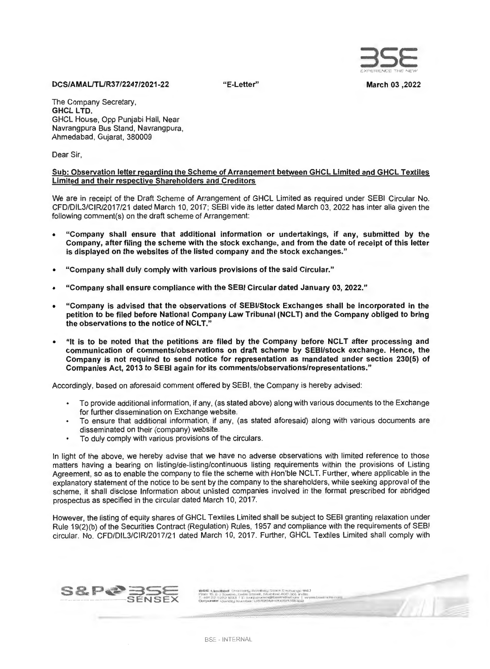

"E-Letter" March 03 ,2022

#### DCS/AMAUTUR37/2247/2021-22

The Company Secretary, GHCL LTD. GHCL House, Opp Punjabi Hall, Near Navrangpura Bus Stand, Navrangpura, Ahmedabad, Gujarat, 380009

Dear Sir,

#### Sub: Observation letter regarding the Scheme of Arrangement between GHCL Limited and GHCL Textiles Limited and their respective Shareholders and Creditors

We are in receipt of the Draft Scheme of Arrangement of GHCL Limited as required under SEBI Circular No. CFD/DIL3/CIR/2017/21 dated March 10, 2017; SEBI vide its letter dated March 03, 2022 has inter alia given the following comment(s) on the draft scheme of Arrangement:

- "Company shall ensure that additional information or undertakings, if any, submitted by the Company, after filing the scheme with the stock exchange, and from the date of receipt of this letter is displayed on the websites of the listed company and the stock exchanges."
- "Company shall duly comply with various provisions of the said Circular."
- "Company shall ensure compliance with the SEBI Circular dated January 03, 2022."
- "Company is advised that the observations of SEBl/Stock Exchanges shall be incorporated in the petition to be filed before National Company Law Tribunal (NCLT) and the Company obliged to bring the observations to the notice of NCLT."
- "It is to be noted that the petitions are filed by the Company before NCLT after processing and communication of comments/observations on draft scheme by SEBl/stock exchange. Hence, the Company is not required to send notice for representation as mandated under section 230(5) of Companies Act, 2013 to SEBI again for its comments/observations/representations."

Accordingly, based on aforesaid comment offered by SEBI, the Company is hereby advised:

- To provide additional information, if any, (as stated above) along with various documents to the Exchange for further dissemination on Exchange website.
- To ensure that additional information, if any, (as stated aforesaid) along with various documents are disseminated on their (company) website.
- To duly comply with various provisions of the circulars.

In light of the above, we hereby advise that we have no adverse observations with limited reference to those matters having a bearing on listing/de-listing/continuous listing requirements within the provisions of Listing Agreement, so as to enable the company to file the scheme with Hon'ble NCLT. Further, where applicable in the explanatory statement of the notice to be sent by the company to the shareholders, while seeking approval of the scheme, it shall disclose Information about unlisted companies involved in the format prescribed for abridged prospectus as specified in the circular dated March 10, 2017.

However, the listing of equity shares of GHCL Textiles Limited shall be subject to SEBI granting relaxation under Rule 19(2)(b) of the Securities Contract (Regulation) Rules, 1957 and compliance with the requirements of SEBI circular. No. CFD/DIL3/CIR/2017/21 dated March 10, 2017. Further, GHCL Textiles Limited shall comply with

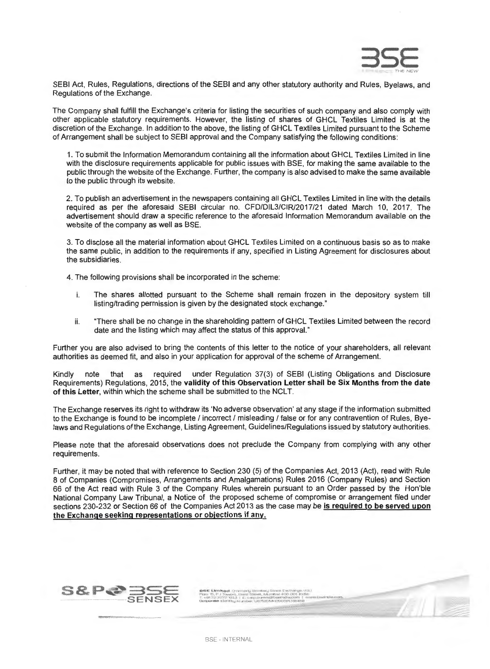

SEBI Act, Rules, Regulations, directions of the SEBI and any other statutory authority and Rules, Byelaws, and Regulations of the Exchange.

The Company shall fulfill the Exchange's criteria for listing the securities of such company and also comply with other applicable statutory requirements. However, the listing of shares of GHCL Textiles Limited is at the discretion of the Exchange. In addition to the above, the listing of GHCL Textiles Limited pursuant to the Scheme of Arrangement shall be subject to SEBI approval and the Company satisfying the following conditions:

1. To submit the Information Memorandum containing all the information about GHCL Textiles Limited in line with the disclosure requirements applicable for public issues with BSE, for making the same available to the public through the website of the Exchange. Further, the company is also advised to make the same available to the public through its website.

2. To publish an advertisement in the newspapers containing all GHCL Textiles Limited in line with the details required as per the aforesaid SEBI circular no. CFD/DIL3/CIR/2017/21 dated March 10, 2017. The advertisement should draw a specific reference to the aforesaid Information Memorandum available on the website of the company as well as BSE.

3. To disclose all the material information about GHCL Textiles Limited on a continuous basis so as to make the same public, in addition to the requirements if any, specified in Listing Agreement for disclosures about the subsidiaries.

4. The following provisions shall be incorporated in the scheme:

- i. The shares allotted pursuant to the Scheme shall remain frozen in the depository system till listing/trading permission is given by the designated stock exchange."
- ii. "There shall be no change in the shareholding pattern of GHCL Textiles Limited between the record date and the listing which may affect the status of this approval."

Further you are also advised to bring the contents of this letter to the notice of your shareholders, all relevant authorities as deemed fit, and also in your application for approval of the scheme of Arrangement.

Kindly note that as required under Regulation 37(3) of SEBI (Listing Obligations and Disclosure Requirements) Regulations, 2015, the validity of this Observation Letter shall be Six Months from the date of this Letter, within which the scheme shall be submitted to the NCLT.

The Exchange reserves its right to withdraw its 'No adverse observation' at any stage if the information submitted to the Exchange is found to be incomplete / incorrect / misleading / false or for any contravention of Rules, Byelaws and Regulations of the Exchange, Listing Agreement, Guidelines/Regulations issued by statutory authorities.

Please note that the aforesaid observations does not preclude the Company from complying with any other requirements.

Further, it may be noted that with reference to Section 230 (5) of the Companies Act, 2013 (Act), read with Rule 8 of Companies (Compromises, Arrangements and Amalgamations) Rules 2016 (Company Rules) and Section 66 of the Act read with Rule 3 of the Company Rules wherein pursuant to an Order passed by the Hon'ble National Company Law Tribunal, a Notice of the proposed scheme of compromise or arrangement filed under sections 230-232 or Section 66 of the Companies Act 2013 as the case may be is required to be served upon the Exchange seeking representations or objections if any.



~~~-...,

fatter. I. have the ed. Commercials Edge of mail Colorado, Concertainty and C.O. (1987). Khen 't'. P j "literatur). Lasini Sciencet. Adurratural 4000 (200 literatur. ~~2l~:~!1~~!},J,.!~~~~~~~~~~ w~.~~t'd•.c~,